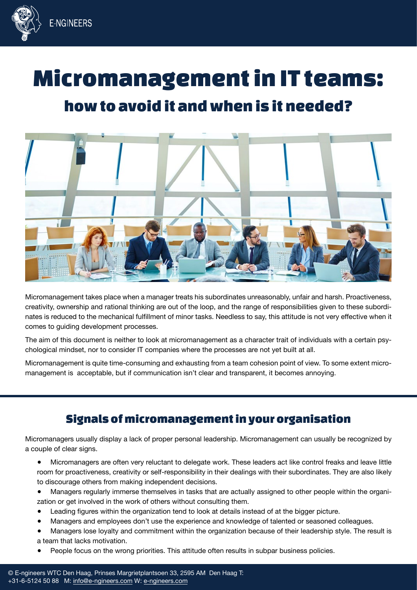

# Micromanagement in IT teams:

## how to avoid it and when is it needed?



Micromanagement takes place when a manager treats his subordinates unreasonably, unfair and harsh. Proactiveness, creativity, ownership and rational thinking are out of the loop, and the range of responsibilities given to these subordinates is reduced to the mechanical fulfillment of minor tasks. Needless to say, this attitude is not very effective when it comes to guiding development processes.

The aim of this document is neither to look at micromanagement as a character trait of individuals with a certain psychological mindset, nor to consider IT companies where the processes are not yet built at all.

Micromanagement is quite time-consuming and exhausting from a team cohesion point of view. To some extent micromanagement is acceptable, but if communication isn't clear and transparent, it becomes annoying.

### Signals of micromanagement in your organisation

Micromanagers usually display a lack of proper personal leadership. Micromanagement can usually be recognized by a couple of clear signs.

- Micromanagers are often very reluctant to delegate work. These leaders act like control freaks and leave little room for proactiveness, creativity or self-responsibility in their dealings with their subordinates. They are also likely to discourage others from making independent decisions.
- Managers regularly immerse themselves in tasks that are actually assigned to other people within the organization or get involved in the work of others without consulting them.
- Leading figures within the organization tend to look at details instead of at the bigger picture.
- Managers and employees don't use the experience and knowledge of talented or seasoned colleagues.
- Managers lose loyalty and commitment within the organization because of their leadership style. The result is a team that lacks motivation.
- People focus on the wrong priorities. This attitude often results in subpar business policies.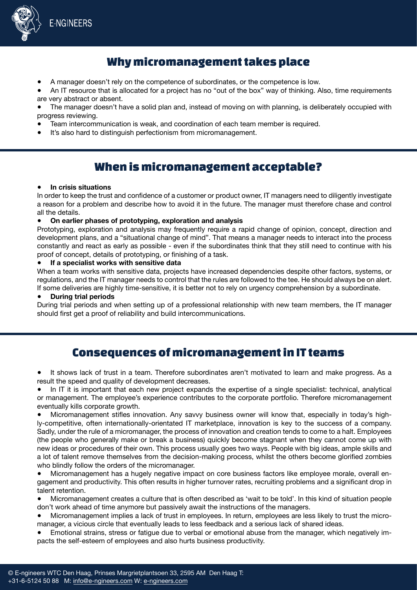

### Why micromanagement takes place

A manager doesn't rely on the competence of subordinates, or the competence is low.

An IT resource that is allocated for a project has no "out of the box" way of thinking. Also, time requirements are very abstract or absent.

The manager doesn't have a solid plan and, instead of moving on with planning, is deliberately occupied with progress reviewing.

- Team intercommunication is weak, and coordination of each team member is required.
- It's also hard to distinguish perfectionism from micromanagement.

### When is micromanagement acceptable?

#### ● **In crisis situations**

In order to keep the trust and confidence of a customer or product owner, IT managers need to diligently investigate a reason for a problem and describe how to avoid it in the future. The manager must therefore chase and control all the details.

#### ● **On earlier phases of prototyping, exploration and analysis**

Prototyping, exploration and analysis may frequently require a rapid change of opinion, concept, direction and development plans, and a "situational change of mind". That means a manager needs to interact into the process constantly and react as early as possible - even if the subordinates think that they still need to continue with his proof of concept, details of prototyping, or finishing of a task.

#### **If a specialist works with sensitive data**

When a team works with sensitive data, projects have increased dependencies despite other factors, systems, or regulations, and the IT manager needs to control that the rules are followed to the tee. He should always be on alert. If some deliveries are highly time-sensitive, it is better not to rely on urgency comprehension by a subordinate.

#### **During trial periods**

During trial periods and when setting up of a professional relationship with new team members, the IT manager should first get a proof of reliability and build intercommunications.

### Consequences of micromanagement in IT teams

It shows lack of trust in a team. Therefore subordinates aren't motivated to learn and make progress. As a result the speed and quality of development decreases.

In IT it is important that each new project expands the expertise of a single specialist: technical, analytical or management. The employee's experience contributes to the corporate portfolio. Therefore micromanagement eventually kills corporate growth.

Micromanagement stifles innovation. Any savvy business owner will know that, especially in today's highly-competitive, often internationally-orientated IT marketplace, innovation is key to the success of a company. Sadly, under the rule of a micromanager, the process of innovation and creation tends to come to a halt. Employees (the people who generally make or break a business) quickly become stagnant when they cannot come up with new ideas or procedures of their own. This process usually goes two ways. People with big ideas, ample skills and a lot of talent remove themselves from the decision-making process, whilst the others become glorified zombies who blindly follow the orders of the micromanager.

Micromanagement has a hugely negative impact on core business factors like employee morale, overall engagement and productivity. This often results in higher turnover rates, recruiting problems and a significant drop in talent retention.

Micromanagement creates a culture that is often described as 'wait to be told'. In this kind of situation people don't work ahead of time anymore but passively await the instructions of the managers.

- Micromanagement implies a lack of trust in employees. In return, employees are less likely to trust the micromanager, a vicious circle that eventually leads to less feedback and a serious lack of shared ideas.
- Emotional strains, stress or fatigue due to verbal or emotional abuse from the manager, which negatively impacts the self-esteem of employees and also hurts business productivity.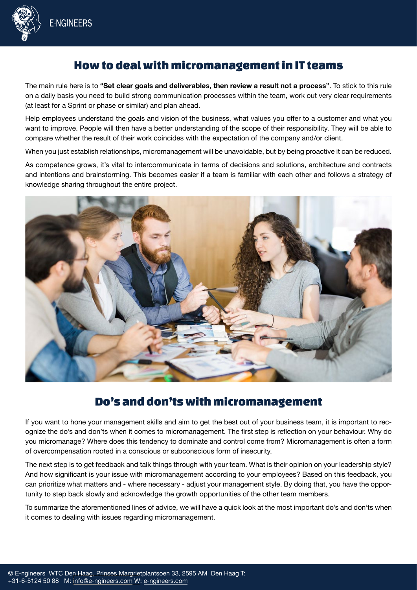

### How to deal with micromanagement in IT teams

The main rule here is to **"Set clear goals and deliverables, then review a result not a process"**. To stick to this rule on a daily basis you need to build strong communication processes within the team, work out very clear requirements (at least for a Sprint or phase or similar) and plan ahead.

Help employees understand the goals and vision of the business, what values you offer to a customer and what you want to improve. People will then have a better understanding of the scope of their responsibility. They will be able to compare whether the result of their work coincides with the expectation of the company and/or client.

When you just establish relationships, micromanagement will be unavoidable, but by being proactive it can be reduced.

As competence grows, it's vital to intercommunicate in terms of decisions and solutions, architecture and contracts and intentions and brainstorming. This becomes easier if a team is familiar with each other and follows a strategy of knowledge sharing throughout the entire project.



### Do's and don'ts with micromanagement

If you want to hone your management skills and aim to get the best out of your business team, it is important to recognize the do's and don'ts when it comes to micromanagement. The first step is reflection on your behaviour. Why do you micromanage? Where does this tendency to dominate and control come from? Micromanagement is often a form of overcompensation rooted in a conscious or subconscious form of insecurity.

The next step is to get feedback and talk things through with your team. What is their opinion on your leadership style? And how significant is your issue with micromanagement according to your employees? Based on this feedback, you can prioritize what matters and - where necessary - adjust your management style. By doing that, you have the opportunity to step back slowly and acknowledge the growth opportunities of the other team members.

To summarize the aforementioned lines of advice, we will have a quick look at the most important do's and don'ts when it comes to dealing with issues regarding micromanagement.